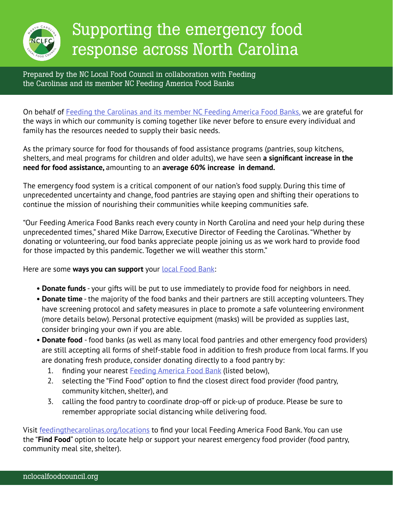

# Supporting the emergency food response across North Carolina

Prepared by the NC Local Food Council in collaboration with Feeding the Carolinas and its member NC Feeding America Food Banks

On behalf of [Feeding the Carolinas and its member NC Feeding America Food Banks,](https://feedingthecarolinas.org/locations/) we are grateful for the ways in which our community is coming together like never before to ensure every individual and family has the resources needed to supply their basic needs.

As the primary source for food for thousands of food assistance programs (pantries, soup kitchens, shelters, and meal programs for children and older adults), we have seen **a significant increase in the need for food assistance,** amounting to an **average 60% increase in demand.**

The emergency food system is a critical component of our nation's food supply. During this time of unprecedented uncertainty and change, food pantries are staying open and shifting their operations to continue the mission of nourishing their communities while keeping communities safe.

"Our Feeding America Food Banks reach every county in North Carolina and need your help during these unprecedented times," shared Mike Darrow, Executive Director of Feeding the Carolinas. "Whether by donating or volunteering, our food banks appreciate people joining us as we work hard to provide food for those impacted by this pandemic. Together we will weather this storm."

Here are some **ways you can support** your **local Food Bank:** 

- **Donate funds** your gifts will be put to use immediately to provide food for neighbors in need.
- **Donate time** the majority of the food banks and their partners are still accepting volunteers. They have screening protocol and safety measures in place to promote a safe volunteering environment (more details below). Personal protective equipment (masks) will be provided as supplies last, consider bringing your own if you are able.
- **Donate food** food banks (as well as many local food pantries and other emergency food providers) are still accepting all forms of shelf-stable food in addition to fresh produce from local farms. If you are donating fresh produce, consider donating directly to a food pantry by:
	- 1. finding your nearest [Feeding America Food Bank](https://feedingthecarolinas.org/locations/) (listed below),
	- 2. selecting the "Find Food" option to find the closest direct food provider (food pantry, community kitchen, shelter), and
	- 3. calling the food pantry to coordinate drop-off or pick-up of produce. Please be sure to remember appropriate social distancing while delivering food.

Visit [feedingthecarolinas.org/locations](http://feedingthecarolinas.org/locations) to find your local Feeding America Food Bank. You can use the "**Find Food**" option to locate help or support your nearest emergency food provider (food pantry, community meal site, shelter).